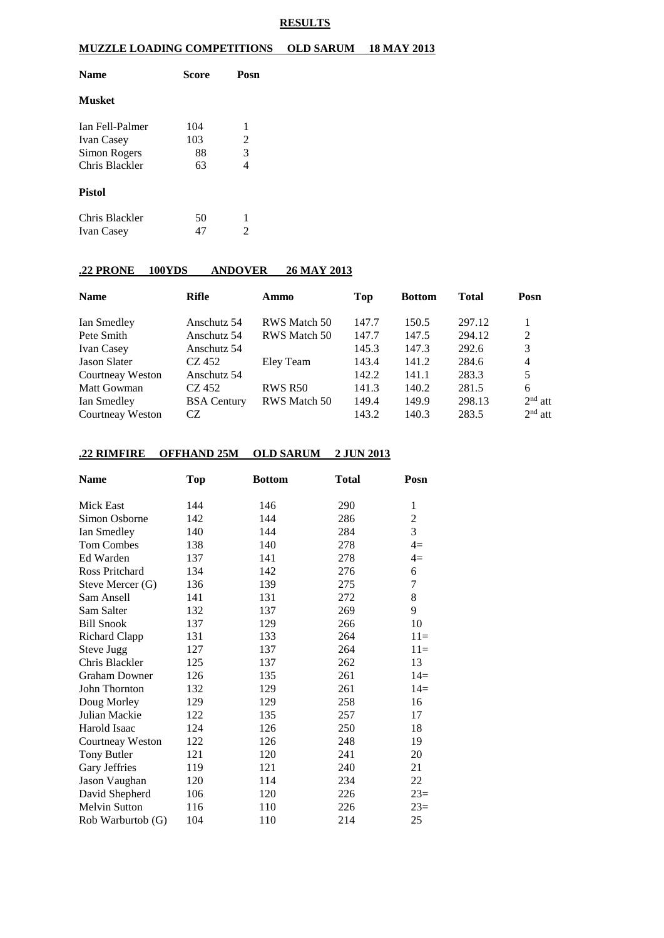#### **RESULTS**

### **MUZZLE LOADING COMPETITIONS OLD SARUM 18 MAY 2013**

| <b>Name</b>            | Score | Posn |  |  |
|------------------------|-------|------|--|--|
| <b>Musket</b>          |       |      |  |  |
| <b>Ian Fell-Palmer</b> | 104   | 1    |  |  |
| <b>Ivan Casey</b>      | 103   | 2    |  |  |
| Simon Rogers           | 88    | 3    |  |  |
| Chris Blackler         | 63    | 4    |  |  |
| <b>Pistol</b>          |       |      |  |  |
| Chris Blackler         | 50    | 1    |  |  |
| <b>Ivan Casey</b>      | 47    | 2    |  |  |

## **.22 PRONE 100YDS ANDOVER 26 MAY 2013**

| <b>Name</b>       | Rifle              | Ammo           | Top   | <b>Bottom</b> | Total  | Posn           |
|-------------------|--------------------|----------------|-------|---------------|--------|----------------|
| Ian Smedley       | Anschutz 54        | RWS Match 50   | 147.7 | 150.5         | 297.12 |                |
| Pete Smith        | Anschutz 54        | RWS Match 50   | 147.7 | 147.5         | 294.12 | 2              |
| <b>Ivan Casey</b> | Anschutz 54        |                | 145.3 | 147.3         | 292.6  | 3              |
| Jason Slater      | CZ 452             | Eley Team      | 143.4 | 141.2         | 284.6  | $\overline{4}$ |
| Courtneay Weston  | Anschutz 54        |                | 142.2 | 141.1         | 283.3  | 5              |
| Matt Gowman       | CZ 452             | <b>RWS R50</b> | 141.3 | 140.2         | 281.5  | 6              |
| Ian Smedley       | <b>BSA</b> Century | RWS Match 50   | 149.4 | 149.9         | 298.13 | $2nd$ att      |
| Courtneay Weston  | CZ.                |                | 143.2 | 140.3         | 283.5  | $2nd$ att      |

### **.22 RIMFIRE OFFHAND 25M OLD SARUM 2 JUN 2013**

| <b>Name</b>          | <b>Top</b> | <b>Bottom</b> | <b>Total</b> | Posn           |
|----------------------|------------|---------------|--------------|----------------|
| Mick East            | 144        | 146           | 290          | 1              |
| Simon Osborne        | 142        | 144           | 286          | $\overline{c}$ |
| Ian Smedley          | 140        | 144           | 284          | 3              |
| <b>Tom Combes</b>    | 138        | 140           | 278          | $4=$           |
| Ed Warden            | 137        | 141           | 278          | $4=$           |
| Ross Pritchard       | 134        | 142           | 276          | 6              |
| Steve Mercer (G)     | 136        | 139           | 275          | $\tau$         |
| Sam Ansell           | 141        | 131           | 272          | 8              |
| Sam Salter           | 132        | 137           | 269          | 9              |
| <b>Bill Snook</b>    | 137        | 129           | 266          | 10             |
| Richard Clapp        | 131        | 133           | 264          | $11=$          |
| Steve Jugg           | 127        | 137           | 264          | $11=$          |
| Chris Blackler       | 125        | 137           | 262          | 13             |
| <b>Graham Downer</b> | 126        | 135           | 261          | $14=$          |
| John Thornton        | 132        | 129           | 261          | $14=$          |
| Doug Morley          | 129        | 129           | 258          | 16             |
| Julian Mackie        | 122        | 135           | 257          | 17             |
| Harold Isaac         | 124        | 126           | 250          | 18             |
| Courtneay Weston     | 122        | 126           | 248          | 19             |
| <b>Tony Butler</b>   | 121        | 120           | 241          | 20             |
| Gary Jeffries        | 119        | 121           | 240          | 21             |
| Jason Vaughan        | 120        | 114           | 234          | 22             |
| David Shepherd       | 106        | 120           | 226          | $23=$          |
| <b>Melvin Sutton</b> | 116        | 110           | 226          | $23=$          |
| Rob Warburtob (G)    | 104        | 110           | 214          | 25             |